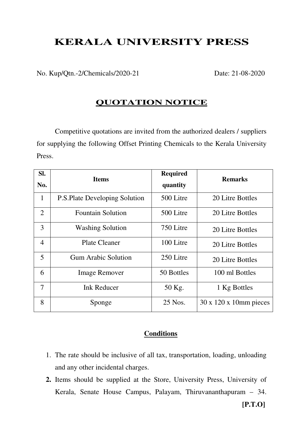## **KERALA UNIVERSITY PRESS**

No. Kup/Qtn.-2/Chemicals/2020-21 Date: 21-08-2020

## **QUOTATION NOTICE**

Competitive quotations are invited from the authorized dealers / suppliers for supplying the following Offset Printing Chemicals to the Kerala University Press.

| SI.<br>No.     | <b>Items</b>                         | <b>Required</b><br>quantity | <b>Remarks</b>                      |
|----------------|--------------------------------------|-----------------------------|-------------------------------------|
| $\mathbf{1}$   | <b>P.S.Plate Developing Solution</b> | 500 Litre                   | 20 Litre Bottles                    |
| $\overline{2}$ | <b>Fountain Solution</b>             | 500 Litre                   | 20 Litre Bottles                    |
| 3              | <b>Washing Solution</b>              | 750 Litre                   | 20 Litre Bottles                    |
| $\overline{4}$ | <b>Plate Cleaner</b>                 | 100 Litre                   | 20 Litre Bottles                    |
| 5              | <b>Gum Arabic Solution</b>           | 250 Litre                   | 20 Litre Bottles                    |
| 6              | <b>Image Remover</b>                 | 50 Bottles                  | 100 ml Bottles                      |
| $\overline{7}$ | <b>Ink Reducer</b>                   | 50 Kg.                      | 1 Kg Bottles                        |
| 8              | Sponge                               | 25 Nos.                     | $30 \times 120 \times 10$ mm pieces |

## **Conditions**

- 1. The rate should be inclusive of all tax, transportation, loading, unloading and any other incidental charges.
- **2.** Items should be supplied at the Store, University Press, University of Kerala, Senate House Campus, Palayam, Thiruvananthapuram – 34.

**[P.T.O]**